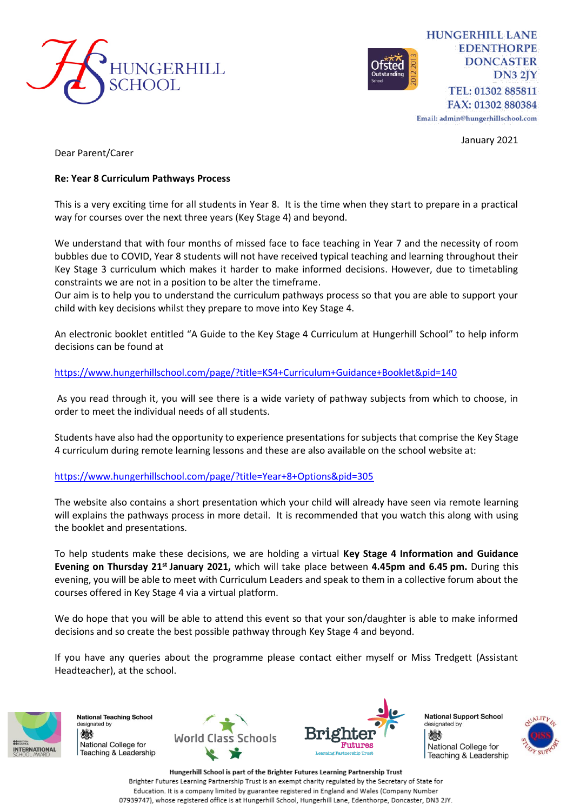



**HUNGERHILL LANE EDENTHORPE DONCASTER**  $DN32IY$ TEL: 01302 885811 FAX: 01302 880384

Email: admin@hungerhillschool.com

January 2021

Dear Parent/Carer

## **Re: Year 8 Curriculum Pathways Process**

This is a very exciting time for all students in Year 8. It is the time when they start to prepare in a practical way for courses over the next three years (Key Stage 4) and beyond.

We understand that with four months of missed face to face teaching in Year 7 and the necessity of room bubbles due to COVID, Year 8 students will not have received typical teaching and learning throughout their Key Stage 3 curriculum which makes it harder to make informed decisions. However, due to timetabling constraints we are not in a position to be alter the timeframe.

Our aim is to help you to understand the curriculum pathways process so that you are able to support your child with key decisions whilst they prepare to move into Key Stage 4.

An electronic booklet entitled "A Guide to the Key Stage 4 Curriculum at Hungerhill School" to help inform decisions can be found at

## <https://www.hungerhillschool.com/page/?title=KS4+Curriculum+Guidance+Booklet&pid=140>

As you read through it, you will see there is a wide variety of pathway subjects from which to choose, in order to meet the individual needs of all students.

Students have also had the opportunity to experience presentations for subjects that comprise the Key Stage 4 curriculum during remote learning lessons and these are also available on the school website at:

## <https://www.hungerhillschool.com/page/?title=Year+8+Options&pid=305>

The website also contains a short presentation which your child will already have seen via remote learning will explains the pathways process in more detail. It is recommended that you watch this along with using the booklet and presentations.

To help students make these decisions, we are holding a virtual **Key Stage 4 Information and Guidance Evening on Thursday 21st January 2021,** which will take place between **4.45pm and 6.45 pm.** During this evening, you will be able to meet with Curriculum Leaders and speak to them in a collective forum about the courses offered in Key Stage 4 via a virtual platform.

We do hope that you will be able to attend this event so that your son/daughter is able to make informed decisions and so create the best possible pathway through Key Stage 4 and beyond.

If you have any queries about the programme please contact either myself or Miss Tredgett (Assistant Headteacher), at the school.



**National Teaching School** designated by 燃 National College for Teaching & Leadership





**National Support School** designated by 燃 National College for Teaching & Leadership



Hungerhill School is part of the Brighter Futures Learning Partnership Trust Brighter Futures Learning Partnership Trust is an exempt charity regulated by the Secretary of State for Education. It is a company limited by guarantee registered in England and Wales (Company Number 07939747), whose registered office is at Hungerhill School, Hungerhill Lane, Edenthorpe, Doncaster, DN3 2JY.